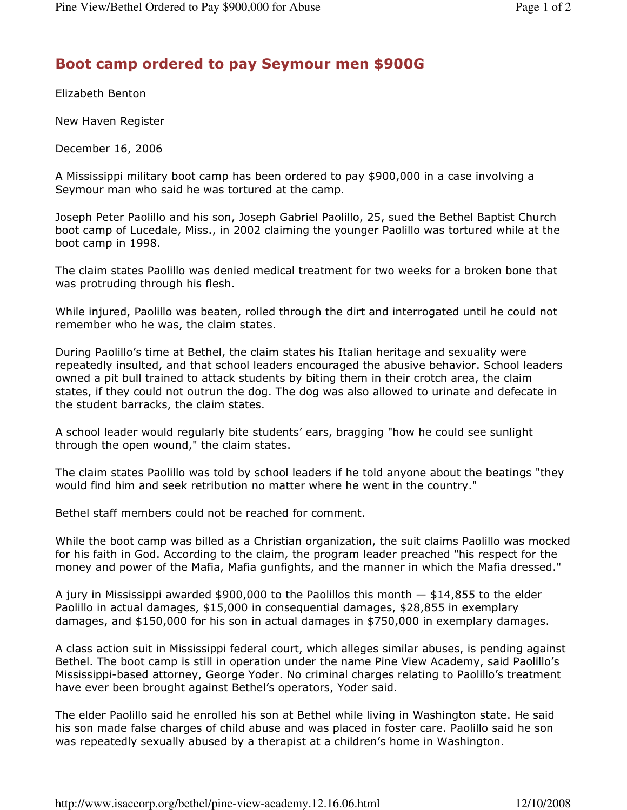## Boot camp ordered to pay Seymour men \$900G

Elizabeth Benton

New Haven Register

December 16, 2006

A Mississippi military boot camp has been ordered to pay \$900,000 in a case involving a Seymour man who said he was tortured at the camp.

Joseph Peter Paolillo and his son, Joseph Gabriel Paolillo, 25, sued the Bethel Baptist Church boot camp of Lucedale, Miss., in 2002 claiming the younger Paolillo was tortured while at the boot camp in 1998.

The claim states Paolillo was denied medical treatment for two weeks for a broken bone that was protruding through his flesh.

While injured, Paolillo was beaten, rolled through the dirt and interrogated until he could not remember who he was, the claim states.

During Paolillo's time at Bethel, the claim states his Italian heritage and sexuality were repeatedly insulted, and that school leaders encouraged the abusive behavior. School leaders owned a pit bull trained to attack students by biting them in their crotch area, the claim states, if they could not outrun the dog. The dog was also allowed to urinate and defecate in the student barracks, the claim states.

A school leader would regularly bite students' ears, bragging "how he could see sunlight through the open wound," the claim states.

The claim states Paolillo was told by school leaders if he told anyone about the beatings "they would find him and seek retribution no matter where he went in the country."

Bethel staff members could not be reached for comment.

While the boot camp was billed as a Christian organization, the suit claims Paolillo was mocked for his faith in God. According to the claim, the program leader preached "his respect for the money and power of the Mafia, Mafia gunfights, and the manner in which the Mafia dressed."

A jury in Mississippi awarded  $$900,000$  to the Paolillos this month  $-$  \$14,855 to the elder Paolillo in actual damages, \$15,000 in consequential damages, \$28,855 in exemplary damages, and \$150,000 for his son in actual damages in \$750,000 in exemplary damages.

A class action suit in Mississippi federal court, which alleges similar abuses, is pending against Bethel. The boot camp is still in operation under the name Pine View Academy, said Paolillo's Mississippi-based attorney, George Yoder. No criminal charges relating to Paolillo's treatment have ever been brought against Bethel's operators, Yoder said.

The elder Paolillo said he enrolled his son at Bethel while living in Washington state. He said his son made false charges of child abuse and was placed in foster care. Paolillo said he son was repeatedly sexually abused by a therapist at a children's home in Washington.